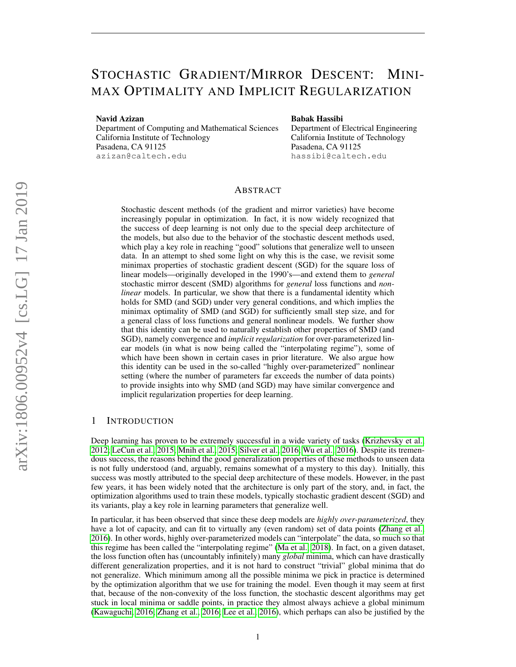# STOCHASTIC GRADIENT/MIRROR DESCENT: MINI-MAX OPTIMALITY AND IMPLICIT REGULARIZATION

Navid Azizan

Department of Computing and Mathematical Sciences California Institute of Technology Pasadena, CA 91125 azizan@caltech.edu

#### Babak Hassibi

Department of Electrical Engineering California Institute of Technology Pasadena, CA 91125 hassibi@caltech.edu

# ABSTRACT

Stochastic descent methods (of the gradient and mirror varieties) have become increasingly popular in optimization. In fact, it is now widely recognized that the success of deep learning is not only due to the special deep architecture of the models, but also due to the behavior of the stochastic descent methods used, which play a key role in reaching "good" solutions that generalize well to unseen data. In an attempt to shed some light on why this is the case, we revisit some minimax properties of stochastic gradient descent (SGD) for the square loss of linear models—originally developed in the 1990's—and extend them to *general* stochastic mirror descent (SMD) algorithms for *general* loss functions and *nonlinear* models. In particular, we show that there is a fundamental identity which holds for SMD (and SGD) under very general conditions, and which implies the minimax optimality of SMD (and SGD) for sufficiently small step size, and for a general class of loss functions and general nonlinear models. We further show that this identity can be used to naturally establish other properties of SMD (and SGD), namely convergence and *implicit regularization* for over-parameterized linear models (in what is now being called the "interpolating regime"), some of which have been shown in certain cases in prior literature. We also argue how this identity can be used in the so-called "highly over-parameterized" nonlinear setting (where the number of parameters far exceeds the number of data points) to provide insights into why SMD (and SGD) may have similar convergence and implicit regularization properties for deep learning.

# 1 INTRODUCTION

Deep learning has proven to be extremely successful in a wide variety of tasks [\(Krizhevsky et al.,](#page-11-0) [2012;](#page-11-0) [LeCun et al., 2015;](#page-11-1) [Mnih et al., 2015;](#page-11-2) [Silver et al., 2016;](#page-11-3) [Wu et al., 2016\)](#page-12-0). Despite its tremendous success, the reasons behind the good generalization properties of these methods to unseen data is not fully understood (and, arguably, remains somewhat of a mystery to this day). Initially, this success was mostly attributed to the special deep architecture of these models. However, in the past few years, it has been widely noted that the architecture is only part of the story, and, in fact, the optimization algorithms used to train these models, typically stochastic gradient descent (SGD) and its variants, play a key role in learning parameters that generalize well.

In particular, it has been observed that since these deep models are *highly over-parameterized*, they have a lot of capacity, and can fit to virtually any (even random) set of data points [\(Zhang et al.,](#page-12-1) [2016\)](#page-12-1). In other words, highly over-parameterized models can "interpolate" the data, so much so that this regime has been called the "interpolating regime" [\(Ma et al., 2018\)](#page-11-4). In fact, on a given dataset, the loss function often has (uncountably infinitely) many *global* minima, which can have drastically different generalization properties, and it is not hard to construct "trivial" global minima that do not generalize. Which minimum among all the possible minima we pick in practice is determined by the optimization algorithm that we use for training the model. Even though it may seem at first that, because of the non-convexity of the loss function, the stochastic descent algorithms may get stuck in local minima or saddle points, in practice they almost always achieve a global minimum [\(Kawaguchi, 2016;](#page-11-5) [Zhang et al., 2016;](#page-12-1) [Lee et al., 2016\)](#page-11-6), which perhaps can also be justified by the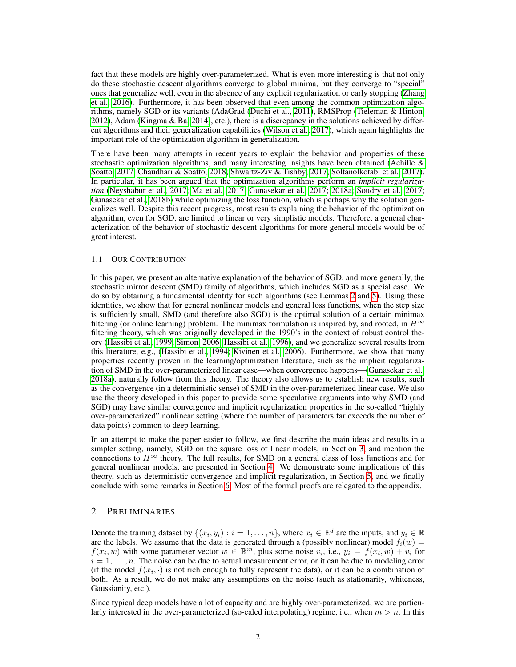fact that these models are highly over-parameterized. What is even more interesting is that not only do these stochastic descent algorithms converge to global minima, but they converge to "special" ones that generalize well, even in the absence of any explicit regularization or early stopping [\(Zhang](#page-12-1) [et al., 2016\)](#page-12-1). Furthermore, it has been observed that even among the common optimization algorithms, namely SGD or its variants (AdaGrad [\(Duchi et al., 2011\)](#page-10-0), RMSProp [\(Tieleman & Hinton,](#page-12-2) [2012\)](#page-12-2), Adam [\(Kingma & Ba, 2014\)](#page-11-7), etc.), there is a discrepancy in the solutions achieved by different algorithms and their generalization capabilities [\(Wilson et al., 2017\)](#page-12-3), which again highlights the important role of the optimization algorithm in generalization.

There have been many attempts in recent years to explain the behavior and properties of these stochastic optimization algorithms, and many interesting insights have been obtained (Achille  $\&$ [Soatto, 2017;](#page-10-1) [Chaudhari & Soatto, 2018;](#page-10-2) [Shwartz-Ziv & Tishby, 2017;](#page-11-8) [Soltanolkotabi et al., 2017\)](#page-11-9). In particular, it has been argued that the optimization algorithms perform an *implicit regularization* [\(Neyshabur et al., 2017;](#page-11-10) [Ma et al., 2017;](#page-11-11) [Gunasekar et al., 2017;](#page-10-3) [2018a;](#page-10-4) [Soudry et al., 2017;](#page-11-12) [Gunasekar et al., 2018b\)](#page-10-5) while optimizing the loss function, which is perhaps why the solution generalizes well. Despite this recent progress, most results explaining the behavior of the optimization algorithm, even for SGD, are limited to linear or very simplistic models. Therefore, a general characterization of the behavior of stochastic descent algorithms for more general models would be of great interest.

#### 1.1 OUR CONTRIBUTION

In this paper, we present an alternative explanation of the behavior of SGD, and more generally, the stochastic mirror descent (SMD) family of algorithms, which includes SGD as a special case. We do so by obtaining a fundamental identity for such algorithms (see Lemmas [2](#page-3-0) and [5\)](#page-6-0). Using these identities, we show that for general nonlinear models and general loss functions, when the step size is sufficiently small, SMD (and therefore also SGD) is the optimal solution of a certain minimax filtering (or online learning) problem. The minimax formulation is inspired by, and rooted, in  $H^{\infty}$ filtering theory, which was originally developed in the 1990's in the context of robust control theory [\(Hassibi et al., 1999;](#page-11-13) [Simon, 2006;](#page-11-14) [Hassibi et al., 1996\)](#page-11-15), and we generalize several results from this literature, e.g., [\(Hassibi et al., 1994;](#page-10-6) [Kivinen et al., 2006\)](#page-11-16). Furthermore, we show that many properties recently proven in the learning/optimization literature, such as the implicit regularization of SMD in the over-parameterized linear case—when convergence happens—[\(Gunasekar et al.,](#page-10-4) [2018a\)](#page-10-4), naturally follow from this theory. The theory also allows us to establish new results, such as the convergence (in a deterministic sense) of SMD in the over-parameterized linear case. We also use the theory developed in this paper to provide some speculative arguments into why SMD (and SGD) may have similar convergence and implicit regularization properties in the so-called "highly over-parameterized" nonlinear setting (where the number of parameters far exceeds the number of data points) common to deep learning.

In an attempt to make the paper easier to follow, we first describe the main ideas and results in a simpler setting, namely, SGD on the square loss of linear models, in Section [3,](#page-2-0) and mention the connections to  $H^{\infty}$  theory. The full results, for SMD on a general class of loss functions and for general nonlinear models, are presented in Section [4.](#page-5-0) We demonstrate some implications of this theory, such as deterministic convergence and implicit regularization, in Section [5,](#page-7-0) and we finally conclude with some remarks in Section [6.](#page-9-0) Most of the formal proofs are relegated to the appendix.

#### 2 PRELIMINARIES

Denote the training dataset by  $\{(x_i, y_i) : i = 1, \ldots, n\}$ , where  $x_i \in \mathbb{R}^d$  are the inputs, and  $y_i \in \mathbb{R}$ are the labels. We assume that the data is generated through a (possibly nonlinear) model  $f_i(w)$  =  $f(x_i, w)$  with some parameter vector  $w \in \mathbb{R}^m$ , plus some noise  $v_i$ , i.e.,  $y_i = f(x_i, w) + v_i$  for  $i = 1, \ldots, n$ . The noise can be due to actual measurement error, or it can be due to modeling error (if the model  $f(x_i, \cdot)$  is not rich enough to fully represent the data), or it can be a combination of both. As a result, we do not make any assumptions on the noise (such as stationarity, whiteness, Gaussianity, etc.).

Since typical deep models have a lot of capacity and are highly over-parameterized, we are particularly interested in the over-parameterized (so-caled interpolating) regime, i.e., when  $m > n$ . In this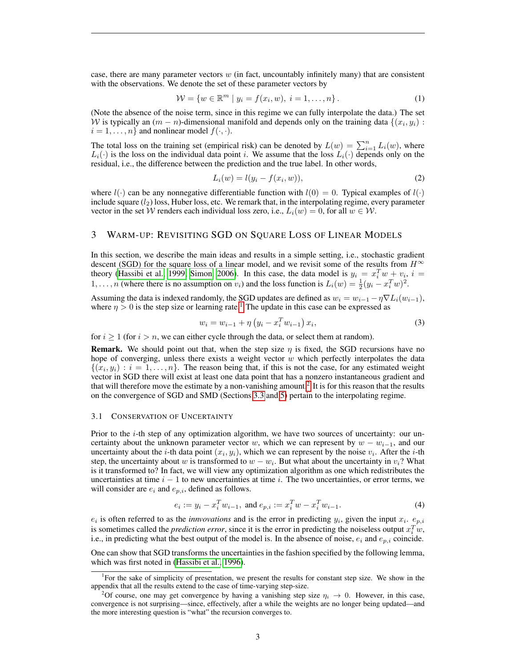case, there are many parameter vectors  $w$  (in fact, uncountably infinitely many) that are consistent with the observations. We denote the set of these parameter vectors by

$$
\mathcal{W} = \{ w \in \mathbb{R}^m \mid y_i = f(x_i, w), \ i = 1, \dots, n \}.
$$
 (1)

(Note the absence of the noise term, since in this regime we can fully interpolate the data.) The set W is typically an  $(m - n)$ -dimensional manifold and depends only on the training data  $\{(x_i, y_i) :$  $i = 1, \ldots, n$  and nonlinear model  $f(\cdot, \cdot)$ .

The total loss on the training set (empirical risk) can be denoted by  $L(w) = \sum_{i=1}^{n} L_i(w)$ , where  $L_i(\cdot)$  is the loss on the individual data point i. We assume that the loss  $L_i(\cdot)$  depends only on the residual, i.e., the difference between the prediction and the true label. In other words,

$$
L_i(w) = l(y_i - f(x_i, w)),
$$
\n(2)

where  $l(\cdot)$  can be any nonnegative differentiable function with  $l(0) = 0$ . Typical examples of  $l(\cdot)$ include square  $(l_2)$  loss, Huber loss, etc. We remark that, in the interpolating regime, every parameter vector in the set W renders each individual loss zero, i.e.,  $L_i(w) = 0$ , for all  $w \in W$ .

#### <span id="page-2-0"></span>3 WARM-UP: REVISITING SGD ON SQUARE LOSS OF LINEAR MODELS

In this section, we describe the main ideas and results in a simple setting, i.e., stochastic gradient descent (SGD) for the square loss of a linear model, and we revisit some of the results from  $H^{\infty}$ theory [\(Hassibi et al., 1999;](#page-11-13) [Simon, 2006\)](#page-11-14). In this case, the data model is  $y_i = x_i^T w + v_i$ ,  $i =$ 1, ..., *n* (where there is no assumption on  $v_i$ ) and the loss function is  $L_i(w) = \frac{1}{2}(y_i - x_i^T w)^2$ .

Assuming the data is indexed randomly, the SGD updates are defined as  $w_i = w_{i-1} - \eta \nabla L_i(w_{i-1}),$ where  $\eta > 0$  is the step size or learning rate.<sup>[1](#page-2-1)</sup> The update in this case can be expressed as

<span id="page-2-3"></span>
$$
w_i = w_{i-1} + \eta \left( y_i - x_i^T w_{i-1} \right) x_i,
$$
\n(3)

for  $i \ge 1$  (for  $i > n$ , we can either cycle through the data, or select them at random).

**Remark.** We should point out that, when the step size  $\eta$  is fixed, the SGD recursions have no hope of converging, unless there exists a weight vector  $w$  which perfectly interpolates the data  $\{(x_i, y_i) : i = 1, \ldots, n\}$ . The reason being that, if this is not the case, for any estimated weight vector in SGD there will exist at least one data point that has a nonzero instantaneous gradient and that will therefore move the estimate by a non-vanishing amount.<sup>[2](#page-2-2)</sup> It is for this reason that the results on the convergence of SGD and SMD (Sections [3.3](#page-4-0) and [5\)](#page-7-0) pertain to the interpolating regime.

#### 3.1 CONSERVATION OF UNCERTAINTY

Prior to the *i*-th step of any optimization algorithm, we have two sources of uncertainty: our uncertainty about the unknown parameter vector w, which we can represent by  $w - w_{i-1}$ , and our uncertainty about the *i*-th data point  $(x_i, y_i)$ , which we can represent by the noise  $v_i$ . After the *i*-th step, the uncertainty about w is transformed to  $w - w_i$ . But what about the uncertainty in  $v_i$ ? What is it transformed to? In fact, we will view any optimization algorithm as one which redistributes the uncertainties at time  $i - 1$  to new uncertainties at time i. The two uncertainties, or error terms, we will consider are  $e_i$  and  $e_{p,i}$ , defined as follows.

$$
e_i := y_i - x_i^T w_{i-1}, \text{ and } e_{p,i} := x_i^T w - x_i^T w_{i-1}.
$$
 (4)

 $e_i$  is often referred to as the *innvovations* and is the error in predicting  $y_i$ , given the input  $x_i$ .  $e_{p,i}$ is sometimes called the *prediction error*, since it is the error in predicting the noiseless output  $x_i^T w$ , i.e., in predicting what the best output of the model is. In the absence of noise,  $e_i$  and  $e_{p,i}$  coincide.

One can show that SGD transforms the uncertainties in the fashion specified by the following lemma, which was first noted in [\(Hassibi et al., 1996\)](#page-11-15).

<span id="page-2-1"></span><sup>&</sup>lt;sup>1</sup>For the sake of simplicity of presentation, we present the results for constant step size. We show in the appendix that all the results extend to the case of time-varying step-size.

<span id="page-2-2"></span><sup>&</sup>lt;sup>2</sup>Of course, one may get convergence by having a vanishing step size  $\eta_i \to 0$ . However, in this case, convergence is not surprising—since, effectively, after a while the weights are no longer being updated—and the more interesting question is "what" the recursion converges to.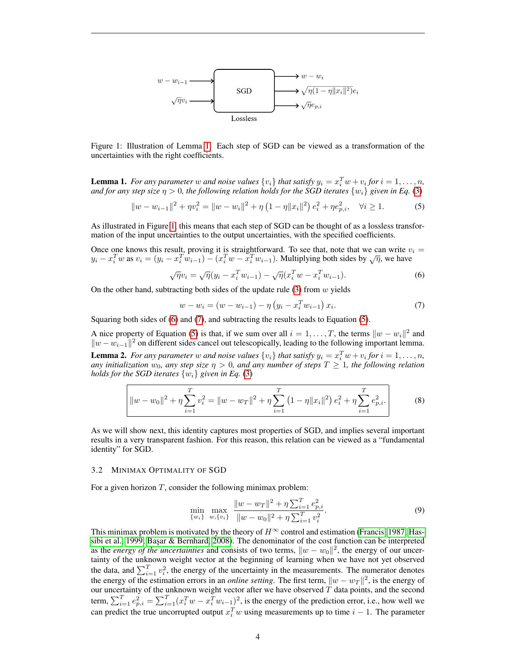

<span id="page-3-2"></span>Figure 1: Illustration of Lemma [1.](#page-3-1) Each step of SGD can be viewed as a transformation of the uncertainties with the right coefficients.

<span id="page-3-1"></span>**Lemma 1.** For any parameter w and noise values  $\{v_i\}$  that satisfy  $y_i = x_i^T w + v_i$  for  $i = 1, ..., n$ , *and for any step size*  $\eta > 0$ *, the following relation holds for the SGD iterates*  $\{w_i\}$  *given in Eq.* [\(3\)](#page-2-3)

<span id="page-3-5"></span>
$$
||w - w_{i-1}||^2 + \eta v_i^2 = ||w - w_i||^2 + \eta \left(1 - \eta ||x_i||^2\right) e_i^2 + \eta e_{p,i}^2, \quad \forall i \ge 1.
$$
 (5)

As illustrated in Figure [1,](#page-3-2) this means that each step of SGD can be thought of as a lossless transformation of the input uncertainties to the output uncertainties, with the specified coefficients.

Once one knows this result, proving it is straightforward. To see that, note that we can write  $v_i =$ Once one knows this result, proving it is straightforward. To see that, note that we can write v<br> $y_i - x_i^T w$  as  $v_i = (y_i - x_i^T w_{i-1}) - (x_i^T w - x_i^T w_{i-1})$ . Multiplying both sides by  $\sqrt{\eta}$ , we have

<span id="page-3-3"></span>
$$
\sqrt{\eta}v_i = \sqrt{\eta}(y_i - x_i^T w_{i-1}) - \sqrt{\eta}(x_i^T w - x_i^T w_{i-1}).
$$
\n(6)

On the other hand, subtracting both sides of the update rule  $(3)$  from w yields

<span id="page-3-4"></span>
$$
w - w_i = (w - w_{i-1}) - \eta \left( y_i - x_i^T w_{i-1} \right) x_i.
$$
\n(7)

Squaring both sides of [\(6\)](#page-3-3) and [\(7\)](#page-3-4), and subtracting the results leads to Equation [\(5\)](#page-3-5).

<span id="page-3-0"></span>A nice property of Equation [\(5\)](#page-3-5) is that, if we sum over all  $i = 1, ..., T$ , the terms  $||w - w_i||^2$  and  $||w - w_{i-1}||^2$  on different sides cancel out telescopically, leading to the following important lemma. **Lemma 2.** For any parameter w and noise values  $\{v_i\}$  that satisfy  $y_i = x_i^T w + v_i$  for  $i = 1, ..., n$ , *any initialization*  $w_0$ *, any step size*  $\eta > 0$ *, and any number of steps*  $T \geq 1$ *, the following relation holds for the SGD iterates*  $\{w_i\}$  *given in Eq.* [\(3\)](#page-2-3)

$$
||w - w_0||^2 + \eta \sum_{i=1}^T v_i^2 = ||w - w_T||^2 + \eta \sum_{i=1}^T (1 - \eta ||x_i||^2) e_i^2 + \eta \sum_{i=1}^T e_{p,i}^2.
$$
 (8)

As we will show next, this identity captures most properties of SGD, and implies several important results in a very transparent fashion. For this reason, this relation can be viewed as a "fundamental identity" for SGD.

#### 3.2 MINIMAX OPTIMALITY OF SGD

For a given horizon  $T$ , consider the following minimax problem:

<span id="page-3-7"></span><span id="page-3-6"></span>
$$
\min_{\{w_i\}} \max_{w, \{v_i\}} \frac{\|w - w_T\|^2 + \eta \sum_{i=1}^T e_{p,i}^2}{\|w - w_0\|^2 + \eta \sum_{i=1}^T v_i^2}.
$$
\n(9)

This minimax problem is motivated by the theory of  $H^{\infty}$  control and estimation [\(Francis, 1987;](#page-10-7) [Has](#page-11-13)[sibi et al., 1999;](#page-11-13) Başar & Bernhard, 2008). The denominator of the cost function can be interpreted as the *energy of the uncertainties* and consists of two terms,  $||w - w_0||^2$ , the energy of our uncertainty of the unknown weight vector at the beginning of learning when we have not yet observed the data, and  $\sum_{i=1}^{T} v_i^2$ , the energy of the uncertainty in the measurements. The numerator denotes the energy of the estimation errors in an *online setting*. The first term,  $\|w - w_T\|^2$ , is the energy of our uncertainty of the unknown weight vector after we have observed  $T$  data points, and the second term,  $\sum_{i=1}^{T} e_{p,i}^2 = \sum_{i=1}^{T} (x_i^T w - x_i^T w_{i-1})^2$ , is the energy of the prediction error, i.e., how well we can predict the true uncorrupted output  $x_i^T w$  using measurements up to time  $i - 1$ . The parameter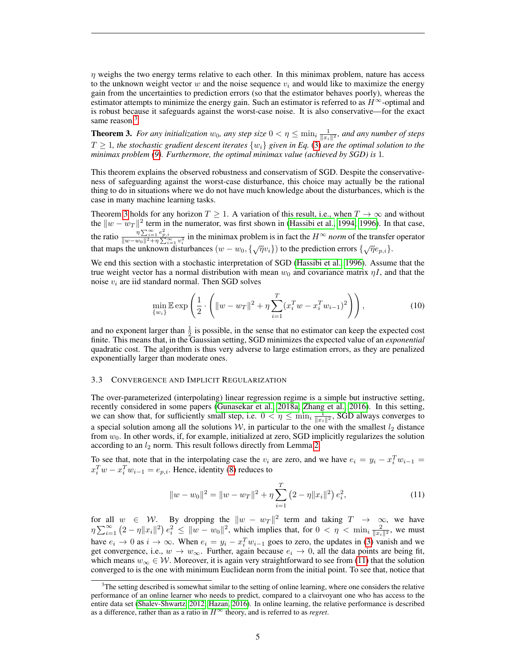$\eta$  weighs the two energy terms relative to each other. In this minimax problem, nature has access to the unknown weight vector w and the noise sequence  $v_i$  and would like to maximize the energy gain from the uncertainties to prediction errors (so that the estimator behaves poorly), whereas the estimator attempts to minimize the energy gain. Such an estimator is referred to as  $H^{\infty}$ -optimal and is robust because it safeguards against the worst-case noise. It is also conservative—for the exact same reason.<sup>[3](#page-4-1)</sup>

<span id="page-4-2"></span>**Theorem 3.** For any initialization  $w_0$ , any step size  $0 < \eta \le \min_i \frac{1}{\|x_i\|^2}$ , and any number of steps  $T \geq 1$ , the stochastic gradient descent iterates  $\{w_i\}$  given in Eq. [\(3\)](#page-2-3) are the optimal solution to the *minimax problem [\(9\)](#page-3-6). Furthermore, the optimal minimax value (achieved by SGD) is* 1*.*

This theorem explains the observed robustness and conservatism of SGD. Despite the conservativeness of safeguarding against the worst-case disturbance, this choice may actually be the rational thing to do in situations where we do not have much knowledge about the disturbances, which is the case in many machine learning tasks.

Theorem [3](#page-4-2) holds for any horizon  $T \geq 1$ . A variation of this result, i.e., when  $T \to \infty$  and without the  $||w - w_T||^2$  term in the numerator, was first shown in [\(Hassibi et al., 1994;](#page-10-6) [1996\)](#page-11-15). In that case, the ratio  $\frac{\eta \sum_{i=1}^{\infty} e_{p,i}^2}{\|w-w_0\|^2 + \eta \sum_{i=1}^{\infty} v_i^2}$  in the minimax problem is in fact the  $H^{\infty}$  *norm* of the transfer operator that maps the unknown disturbances  $(w - w_0, \{\sqrt{\eta}v_i\})$  to the prediction errors  $\{\sqrt{\eta}e_{p,i}\}.$ 

We end this section with a stochastic interpretation of SGD [\(Hassibi et al., 1996\)](#page-11-15). Assume that the true weight vector has a normal distribution with mean  $w_0$  and covariance matrix  $\eta I$ , and that the noise  $v_i$  are iid standard normal. Then SGD solves

$$
\min_{\{w_i\}} \mathbb{E} \exp\left(\frac{1}{2} \cdot \left( \|w - w_T\|^2 + \eta \sum_{i=1}^T (x_i^T w - x_i^T w_{i-1})^2 \right) \right),\tag{10}
$$

and no exponent larger than  $\frac{1}{2}$  is possible, in the sense that no estimator can keep the expected cost finite. This means that, in the Gaussian setting, SGD minimizes the expected value of an *exponential* quadratic cost. The algorithm is thus very adverse to large estimation errors, as they are penalized exponentially larger than moderate ones.

#### <span id="page-4-0"></span>3.3 CONVERGENCE AND IMPLICIT REGULARIZATION

The over-parameterized (interpolating) linear regression regime is a simple but instructive setting, recently considered in some papers [\(Gunasekar et al., 2018a;](#page-10-4) [Zhang et al., 2016\)](#page-12-1). In this setting, we can show that, for sufficiently small step, i.e.  $0 < \eta \le \min_i \frac{1}{\|x_i\|^2}$ , SGD always converges to a special solution among all the solutions  $W$ , in particular to the one with the smallest  $l_2$  distance from  $w_0$ . In other words, if, for example, initialized at zero, SGD implicitly regularizes the solution according to an  $l_2$  norm. This result follows directly from Lemma [2.](#page-3-0)

To see that, note that in the interpolating case the  $v_i$  are zero, and we have  $e_i = y_i - x_i^T w_{i-1} =$  $x_i^T w - x_i^T w_{i-1} = e_{p,i}$ . Hence, identity [\(8\)](#page-3-7) reduces to

<span id="page-4-3"></span>
$$
||w - w_0||^2 = ||w - w_T||^2 + \eta \sum_{i=1}^T (2 - \eta ||x_i||^2) e_i^2,
$$
\n(11)

for all  $w \in \mathcal{W}$ . By dropping the  $\|w - w_T\|^2$  term and taking  $T \to \infty$ , we have  $\eta \sum_{i=1}^{\infty} (2 - \eta ||x_i||^2) e_i^2 \le ||w - w_0||^2$ , which implies that, for  $0 < \eta < \min_{i} \frac{2}{||x_i||^2}$ , we must have  $e_i \to 0$  as  $i \to \infty$ . When  $e_i = y_i - x_i^T w_{i-1}$  goes to zero, the updates in [\(3\)](#page-2-3) vanish and we get convergence, i.e.,  $w \to w_{\infty}$ . Further, again because  $e_i \to 0$ , all the data points are being fit, which means  $w_{\infty} \in \mathcal{W}$ . Moreover, it is again very straightforward to see from [\(11\)](#page-4-3) that the solution converged to is the one with minimum Euclidean norm from the initial point. To see that, notice that

<span id="page-4-1"></span> $3$ The setting described is somewhat similar to the setting of online learning, where one considers the relative performance of an online learner who needs to predict, compared to a clairvoyant one who has access to the entire data set [\(Shalev-Shwartz, 2012;](#page-11-17) [Hazan, 2016\)](#page-11-18). In online learning, the relative performance is described as a difference, rather than as a ratio in  $H^{\infty}$  theory, and is referred to as *regret*.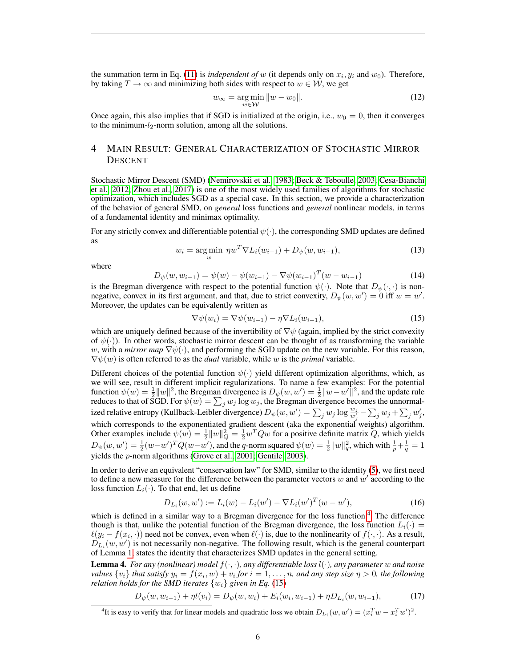the summation term in Eq.  $(11)$  is *independent of* w (it depends only on  $x_i, y_i$  and  $w_0$ ). Therefore, by taking  $T \to \infty$  and minimizing both sides with respect to  $w \in \mathcal{W}$ , we get

$$
w_{\infty} = \underset{w \in \mathcal{W}}{\arg \min} \|w - w_0\|.
$$
 (12)

Once again, this also implies that if SGD is initialized at the origin, i.e.,  $w_0 = 0$ , then it converges to the minimum- $l_2$ -norm solution, among all the solutions.

# <span id="page-5-0"></span>4 MAIN RESULT: GENERAL CHARACTERIZATION OF STOCHASTIC MIRROR DESCENT

Stochastic Mirror Descent (SMD) [\(Nemirovskii et al., 1983;](#page-11-19) [Beck & Teboulle, 2003;](#page-10-9) [Cesa-Bianchi](#page-10-10) [et al., 2012;](#page-10-10) [Zhou et al., 2017\)](#page-12-4) is one of the most widely used families of algorithms for stochastic optimization, which includes SGD as a special case. In this section, we provide a characterization of the behavior of general SMD, on *general* loss functions and *general* nonlinear models, in terms of a fundamental identity and minimax optimality.

For any strictly convex and differentiable potential  $\psi(\cdot)$ , the corresponding SMD updates are defined as

$$
w_i = \underset{w}{\text{arg min}} \ \eta w^T \nabla L_i(w_{i-1}) + D_{\psi}(w, w_{i-1}), \tag{13}
$$

where

$$
D_{\psi}(w, w_{i-1}) = \psi(w) - \psi(w_{i-1}) - \nabla \psi(w_{i-1})^T (w - w_{i-1})
$$
\n(14)

is the Bregman divergence with respect to the potential function  $\psi(\cdot)$ . Note that  $D_{\psi}(\cdot, \cdot)$  is nonnegative, convex in its first argument, and that, due to strict convexity,  $D_{\psi}(w, w') = 0$  iff  $w = w'$ . Moreover, the updates can be equivalently written as

<span id="page-5-2"></span>
$$
\nabla \psi(w_i) = \nabla \psi(w_{i-1}) - \eta \nabla L_i(w_{i-1}),\tag{15}
$$

which are uniquely defined because of the invertibility of  $\nabla \psi$  (again, implied by the strict convexity of  $\psi(\cdot)$ ). In other words, stochastic mirror descent can be thought of as transforming the variable w, with a *mirror map*  $\nabla \psi(\cdot)$ , and performing the SGD update on the new variable. For this reason,  $\nabla \psi(w)$  is often referred to as the *dual* variable, while w is the *primal* variable.

Different choices of the potential function  $\psi(\cdot)$  yield different optimization algorithms, which, as we will see, result in different implicit regularizations. To name a few examples: For the potential function  $\psi(w) = \frac{1}{2} ||w||^2$ , the Bregman divergence is  $D_{\psi}(w, w') = \frac{1}{2} ||w - w'||^2$ , and the update rule reduces to that of SGD. For  $\psi(w) = \sum_j w_j \log w_j$ , the Bregman divergence becomes the unnormalized relative entropy (Kullback-Leibler divergence)  $D_\psi(w, w') = \sum_j w_j \log \frac{w_j}{w'_j} - \sum_j w_j + \sum_j w'_j$ , which corresponds to the exponentiated gradient descent (aka the exponential weights) algorithm. Other examples include  $\psi(w) = \frac{1}{2} ||w||_Q^2 = \frac{1}{2} w^T Q w$  for a positive definite matrix Q, which yields  $D_\psi(w, w') = \frac{1}{2}(w - w')^T Q(w - w')$ , and the q-norm squared  $\psi(w) = \frac{1}{2} ||w||_q^2$ , which with  $\frac{1}{p} + \frac{1}{q} = 1$ yields the p-norm algorithms [\(Grove et al., 2001;](#page-10-11) [Gentile, 2003\)](#page-10-12).

In order to derive an equivalent "conservation law" for SMD, similar to the identity [\(5\)](#page-3-5), we first need to define a new measure for the difference between the parameter vectors  $w$  and  $w'$  according to the loss function  $L_i(\cdot)$ . To that end, let us define

<span id="page-5-5"></span>
$$
D_{L_i}(w, w') := L_i(w) - L_i(w') - \nabla L_i(w')^T (w - w'), \tag{16}
$$

which is defined in a similar way to a Bregman divergence for the loss function.<sup>[4](#page-5-1)</sup> The difference though is that, unlike the potential function of the Bregman divergence, the loss function  $L_i(\cdot)$  =  $\ell(y_i - f(x_i, \cdot))$  need not be convex, even when  $\ell(\cdot)$  is, due to the nonlinearity of  $f(\cdot, \cdot)$ . As a result,  $D_{L_i}(w, w')$  is not necessarily non-negative. The following result, which is the general counterpart of Lemma [1,](#page-3-1) states the identity that characterizes SMD updates in the general setting.

<span id="page-5-4"></span>**Lemma 4.** For any (nonlinear) model  $f(\cdot, \cdot)$ , any differentiable loss  $l(\cdot)$ , any parameter w and noise *values*  $\{v_i\}$  *that satisfy*  $y_i = f(x_i, w) + v_i$  *for*  $i = 1, ..., n$ *, and any step size*  $\eta > 0$ *, the following relation holds for the SMD iterates*  $\{w_i\}$  *given in Eq.* [\(15\)](#page-5-2)

<span id="page-5-3"></span>
$$
D_{\psi}(w, w_{i-1}) + \eta l(v_i) = D_{\psi}(w, w_i) + E_i(w_i, w_{i-1}) + \eta D_{L_i}(w, w_{i-1}),
$$
\n(17)

<span id="page-5-1"></span><sup>&</sup>lt;sup>4</sup>It is easy to verify that for linear models and quadratic loss we obtain  $D_{L_i}(w, w') = (x_i^T w - x_i^T w')^2$ .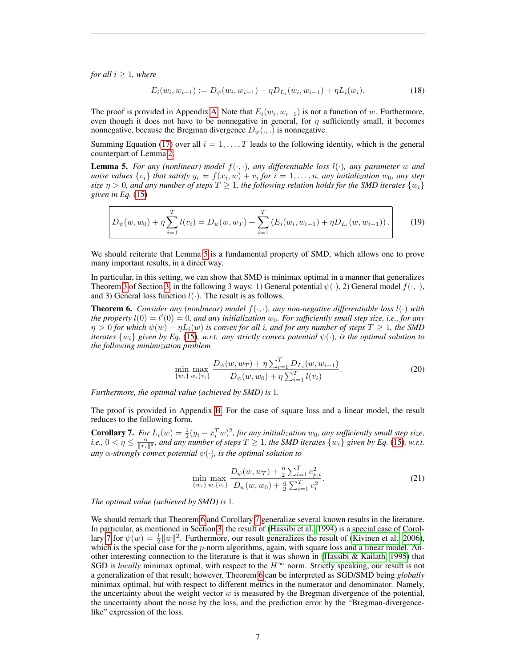*for all*  $i \geq 1$ *, where* 

$$
E_i(w_i, w_{i-1}) := D_{\psi}(w_i, w_{i-1}) - \eta D_{L_i}(w_i, w_{i-1}) + \eta L_i(w_i). \tag{18}
$$

The proof is provided in Appendix [A.](#page-13-0) Note that  $E_i(w_i, w_{i-1})$  is not a function of w. Furthermore, even though it does not have to be nonnegative in general, for  $\eta$  sufficiently small, it becomes nonnegative, because the Bregman divergence  $D_{\psi}(.,.)$  is nonnegative.

Summing Equation [\(17\)](#page-5-3) over all  $i = 1, \ldots, T$  leads to the following identity, which is the general counterpart of Lemma [2.](#page-3-0)

<span id="page-6-0"></span>**Lemma 5.** For any (nonlinear) model  $f(\cdot, \cdot)$ , any differentiable loss  $l(\cdot)$ , any parameter w and *noise values*  $\{v_i\}$  *that satisfy*  $y_i = f(x_i, w) + v_i$  *for*  $i = 1, ..., n$ *, any initialization*  $w_0$ *, any step size*  $\eta > 0$ , and any number of steps  $T \geq 1$ , the following relation holds for the SMD iterates  $\{w_i\}$ *given in Eq.* [\(15\)](#page-5-2)

$$
D_{\psi}(w, w_0) + \eta \sum_{i=1}^{T} l(v_i) = D_{\psi}(w, w_T) + \sum_{i=1}^{T} \left( E_i(w_i, w_{i-1}) + \eta D_{L_i}(w, w_{i-1}) \right). \tag{19}
$$

We should reiterate that Lemma [5](#page-6-0) is a fundamental property of SMD, which allows one to prove many important results, in a direct way.

In particular, in this setting, we can show that SMD is minimax optimal in a manner that generalizes Theorem [3](#page-4-2) of Section [3,](#page-2-0) in the following 3 ways: 1) General potential  $\psi(\cdot)$ , 2) General model  $f(\cdot, \cdot)$ , and 3) General loss function  $l(\cdot)$ . The result is as follows.

<span id="page-6-1"></span>**Theorem 6.** *Consider any (nonlinear) model*  $f(\cdot, \cdot)$ *, any non-negative differentiable loss*  $l(\cdot)$  *with* the property  $l(0) = l'(0) = 0$ , and any initialization  $w_0$ . For sufficiently small step size, i.e., for any  $\eta > 0$  for which  $\psi(w) - \eta L_i(w)$  is convex for all *i*, and for any number of steps  $T \geq 1$ , the SMD *iterates*  $\{w_i\}$  *given by Eq.* [\(15\)](#page-5-2)*, w.r.t. any strictly convex potential*  $\psi(\cdot)$ *, is the optimal solution to the following minimization problem*

<span id="page-6-3"></span>
$$
\min_{\{w_i\}} \max_{w, \{v_i\}} \frac{D_{\psi}(w, w_T) + \eta \sum_{i=1}^T D_{L_i}(w, w_{i-1})}{D_{\psi}(w, w_0) + \eta \sum_{i=1}^T l(v_i)}.
$$
\n(20)

*Furthermore, the optimal value (achieved by SMD) is* 1*.*

The proof is provided in Appendix [B.](#page-13-1) For the case of square loss and a linear model, the result reduces to the following form.

<span id="page-6-2"></span>**Corollary 7.** *For*  $L_i(w) = \frac{1}{2}(y_i - x_i^T w)^2$ , *for any initialization*  $w_0$ *, any sufficiently small step size, i.e.,*  $0 < \eta \le \frac{\alpha}{\|x_i\|^2}$ , and any number of steps  $T \ge 1$ , the SMD iterates  $\{w_i\}$  given by Eq. [\(15\)](#page-5-2), w.r.t. *any*  $\alpha$ -strongly convex potential  $\psi(\cdot)$ , is the optimal solution to

$$
\min_{\{w_i\}} \max_{w, \{v_i\}} \frac{D_{\psi}(w, w_T) + \frac{\eta}{2} \sum_{i=1}^T e_{p,i}^2}{D_{\psi}(w, w_0) + \frac{\eta}{2} \sum_{i=1}^T v_i^2}.
$$
\n(21)

*The optimal value (achieved by SMD) is* 1*.*

We should remark that Theorem [6](#page-6-1) and Corollary [7](#page-6-2) generalize several known results in the literature. In particular, as mentioned in Section [3,](#page-2-0) the result of [\(Hassibi et al., 1994\)](#page-10-6) is a special case of Corol-lary [7](#page-6-2) for  $\psi(w) = \frac{1}{2} ||w||^2$ . Furthermore, our result generalizes the result of [\(Kivinen et al., 2006\)](#page-11-16), which is the special case for the  $p$ -norm algorithms, again, with square loss and a linear model. Another interesting connection to the literature is that it was shown in [\(Hassibi & Kailath, 1995\)](#page-10-13) that SGD is *locally* minimax optimal, with respect to the  $H^{\infty}$  norm. Strictly speaking, our result is not a generalization of that result; however, Theorem [6](#page-6-1) can be interpreted as SGD/SMD being *globally* minimax optimal, but with respect to different metrics in the numerator and denominator. Namely, the uncertainty about the weight vector  $w$  is measured by the Bregman divergence of the potential, the uncertainty about the noise by the loss, and the prediction error by the "Bregman-divergencelike" expression of the loss.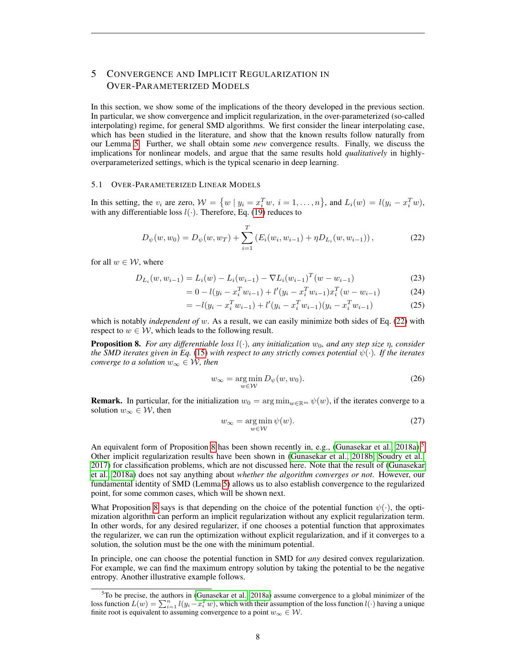# <span id="page-7-0"></span>5 CONVERGENCE AND IMPLICIT REGULARIZATION IN OVER-PARAMETERIZED MODELS

In this section, we show some of the implications of the theory developed in the previous section. In particular, we show convergence and implicit regularization, in the over-parameterized (so-called interpolating) regime, for general SMD algorithms. We first consider the linear interpolating case, which has been studied in the literature, and show that the known results follow naturally from our Lemma [5.](#page-6-0) Further, we shall obtain some *new* convergence results. Finally, we discuss the implications for nonlinear models, and argue that the same results hold *qualitatively* in highlyoverparameterized settings, which is the typical scenario in deep learning.

#### 5.1 OVER-PARAMETERIZED LINEAR MODELS

In this setting, the  $v_i$  are zero,  $W = \{w \mid y_i = x_i^T w, i = 1, ..., n\}$ , and  $L_i(w) = l(y_i - x_i^T w)$ , with any differentiable loss  $l(\cdot)$ . Therefore, Eq. [\(19\)](#page-6-3) reduces to

<span id="page-7-1"></span>
$$
D_{\psi}(w, w_0) = D_{\psi}(w, w_T) + \sum_{i=1}^{T} \left( E_i(w_i, w_{i-1}) + \eta D_{L_i}(w, w_{i-1}) \right), \tag{22}
$$

for all  $w \in \mathcal{W}$ , where

$$
D_{L_i}(w, w_{i-1}) = L_i(w) - L_i(w_{i-1}) - \nabla L_i(w_{i-1})^T (w - w_{i-1})
$$
\n(23)

$$
= 0 - l(y_i - x_i^T w_{i-1}) + l'(y_i - x_i^T w_{i-1}) x_i^T (w - w_{i-1})
$$
\n(24)

$$
= -l(y_i - x_i^T w_{i-1}) + l'(y_i - x_i^T w_{i-1})(y_i - x_i^T w_{i-1})
$$
\n(25)

which is notably *independent of* w. As a result, we can easily minimize both sides of Eq. [\(22\)](#page-7-1) with respect to  $w \in \mathcal{W}$ , which leads to the following result.

<span id="page-7-2"></span>**Proposition 8.** *For any differentiable loss*  $l(\cdot)$ *, any initialization*  $w_0$ *, and any step size*  $\eta$ *, consider the SMD iterates given in Eq.* [\(15\)](#page-5-2) *with respect to any strictly convex potential*  $\psi(\cdot)$ *. If the iterates converge to a solution*  $w_{\infty} \in \mathcal{W}$ , then

$$
w_{\infty} = \underset{w \in \mathcal{W}}{\arg \min} \, D_{\psi}(w, w_0). \tag{26}
$$

**Remark.** In particular, for the initialization  $w_0 = \arg \min_{w \in \mathbb{R}^m} \psi(w)$ , if the iterates converge to a solution  $w_{\infty} \in \mathcal{W}$ , then

$$
w_{\infty} = \underset{w \in \mathcal{W}}{\arg \min} \psi(w). \tag{27}
$$

An equivalent form of Proposition [8](#page-7-2) has been shown recently in, e.g., (Gunasekar et al.,  $2018a$ ).<sup>[5](#page-7-3)</sup> Other implicit regularization results have been shown in [\(Gunasekar et al., 2018b;](#page-10-5) [Soudry et al.,](#page-11-12) [2017\)](#page-11-12) for classification problems, which are not discussed here. Note that the result of [\(Gunasekar](#page-10-4) [et al., 2018a\)](#page-10-4) does not say anything about *whether the algorithm converges or not*. However, our fundamental identity of SMD (Lemma [5\)](#page-6-0) allows us to also establish convergence to the regularized point, for some common cases, which will be shown next.

What Proposition [8](#page-7-2) says is that depending on the choice of the potential function  $\psi(\cdot)$ , the optimization algorithm can perform an implicit regularization without any explicit regularization term. In other words, for any desired regularizer, if one chooses a potential function that approximates the regularizer, we can run the optimization without explicit regularization, and if it converges to a solution, the solution must be the one with the minimum potential.

In principle, one can choose the potential function in SMD for *any* desired convex regularization. For example, we can find the maximum entropy solution by taking the potential to be the negative entropy. Another illustrative example follows.

<span id="page-7-3"></span><sup>5</sup>To be precise, the authors in [\(Gunasekar et al., 2018a\)](#page-10-4) assume convergence to a global minimizer of the loss function  $L(w) = \sum_{i=1}^{n} l(y_i - x_i^T w)$ , which with their assumption of the loss function  $l(\cdot)$  having a unique finite root is equivalent to assuming convergence to a point  $w_{\infty} \in \mathcal{W}$ .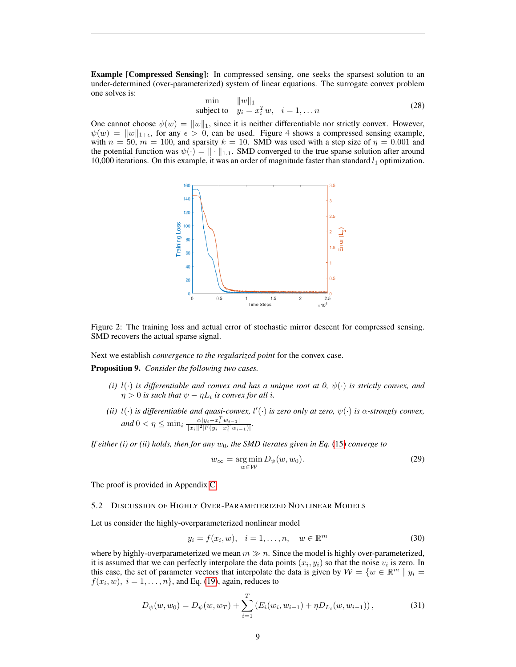Example [Compressed Sensing]: In compressed sensing, one seeks the sparsest solution to an under-determined (over-parameterized) system of linear equations. The surrogate convex problem one solves is:

$$
\min_{\text{subject to}} \quad \|w\|_1
$$
\n
$$
y_i = x_i^T w, \quad i = 1, \dots n
$$
\n
$$
(28)
$$

One cannot choose  $\psi(w) = ||w||_1$ , since it is neither differentiable nor strictly convex. However,  $\psi(w) = ||w||_{1+\epsilon}$ , for any  $\epsilon > 0$ , can be used. Figure 4 shows a compressed sensing example, with  $n = 50$ ,  $m = 100$ , and sparsity  $k = 10$ . SMD was used with a step size of  $\eta = 0.001$  and the potential function was  $\psi(\cdot) = \|\cdot\|_{1,1}$ . SMD converged to the true sparse solution after around 10,000 iterations. On this example, it was an order of magnitude faster than standard  $l_1$  optimization.



Figure 2: The training loss and actual error of stochastic mirror descent for compressed sensing. SMD recovers the actual sparse signal.

Next we establish *convergence to the regularized point* for the convex case.

<span id="page-8-0"></span>Proposition 9. *Consider the following two cases.*

- *(i)*  $l(\cdot)$  *is differentiable and convex and has a unique root at 0,*  $\psi(\cdot)$  *is strictly convex, and*  $\eta > 0$  is such that  $\psi - \eta L_i$  is convex for all *i*.
- *(ii)*  $l(\cdot)$  *is differentiable and quasi-convex,*  $l'(\cdot)$  *is zero only at zero,*  $\psi(\cdot)$  *is*  $\alpha$ -strongly convex,  $and$  0 <  $\eta \le \min_i \frac{\alpha |y_i - x_i^T w_{i-1}|}{\|x_i\|^2 |l'(y_i - x_i^T w_{i-1})|}.$

*If either (i) or (ii) holds, then for any* w0*, the SMD iterates given in Eq.* [\(15\)](#page-5-2) *converge to*

$$
w_{\infty} = \underset{w \in \mathcal{W}}{\arg \min} \, D_{\psi}(w, w_0). \tag{29}
$$

The proof is provided in Appendix [C.](#page-15-0)

#### 5.2 DISCUSSION OF HIGHLY OVER-PARAMETERIZED NONLINEAR MODELS

Let us consider the highly-overparameterized nonlinear model

$$
y_i = f(x_i, w), \quad i = 1, \dots, n, \quad w \in \mathbb{R}^m
$$
\n
$$
(30)
$$

where by highly-overparameterized we mean  $m \gg n$ . Since the model is highly over-parameterized, it is assumed that we can perfectly interpolate the data points  $(x_i, y_i)$  so that the noise  $v_i$  is zero. In this case, the set of parameter vectors that interpolate the data is given by  $W = \{w \in \mathbb{R}^m \mid y_i =$  $f(x_i, w)$ ,  $i = 1, \dots, n$ , and Eq. [\(19\)](#page-6-3), again, reduces to

$$
D_{\psi}(w, w_0) = D_{\psi}(w, w_T) + \sum_{i=1}^{T} \left( E_i(w_i, w_{i-1}) + \eta D_{L_i}(w, w_{i-1}) \right), \tag{31}
$$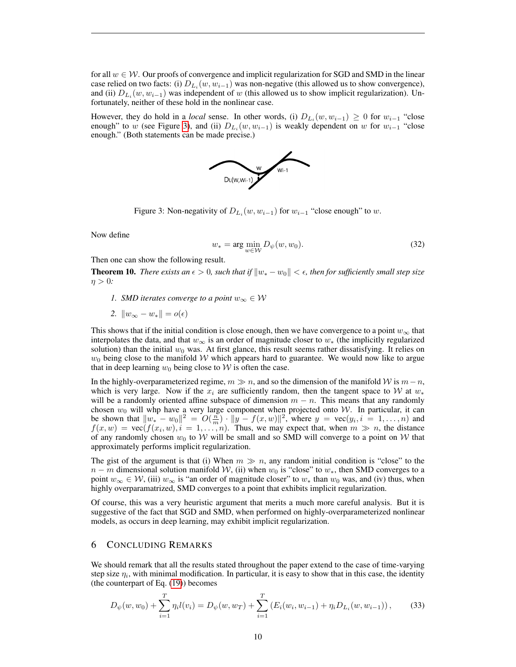for all  $w \in \mathcal{W}$ . Our proofs of convergence and implicit regularization for SGD and SMD in the linear case relied on two facts: (i)  $D_{L_i}(w, w_{i-1})$  was non-negative (this allowed us to show convergence), and (ii)  $D_{L_i}(w, w_{i-1})$  was independent of w (this allowed us to show implicit regularization). Unfortunately, neither of these hold in the nonlinear case.

However, they do hold in a *local* sense. In other words, (i)  $D_{L_i}(w, w_{i-1}) \geq 0$  for  $w_{i-1}$  "close enough" to w (see Figure [3\)](#page-9-1), and (ii)  $D_{L_i}(w, w_{i-1})$  is weakly dependent on w for  $w_{i-1}$  "close enough." (Both statements can be made precise.)



<span id="page-9-1"></span>Figure 3: Non-negativity of  $D_{L_i}(w, w_{i-1})$  for  $w_{i-1}$  "close enough" to w.

Now define

$$
w_* = \arg\min_{w \in \mathcal{W}} D_{\psi}(w, w_0). \tag{32}
$$

Then one can show the following result.

**Theorem 10.** *There exists an*  $\epsilon > 0$ , such that if  $||w_* - w_0|| < \epsilon$ , then for sufficiently small step size  $\eta > 0$ :

- *1. SMD iterates converge to a point*  $w_{\infty} \in \mathcal{W}$
- 2.  $\|w_{\infty} w_*\| = o(\epsilon)$

This shows that if the initial condition is close enough, then we have convergence to a point  $w_{\infty}$  that interpolates the data, and that  $w_{\infty}$  is an order of magnitude closer to  $w_*$  (the implicitly regularized solution) than the initial  $w_0$  was. At first glance, this result seems rather dissatisfying. It relies on  $w_0$  being close to the manifold W which appears hard to guarantee. We would now like to argue that in deep learning  $w_0$  being close to W is often the case.

In the highly-overparameterized regime,  $m \gg n$ , and so the dimension of the manifold W is  $m-n$ , which is very large. Now if the  $x_i$  are sufficiently random, then the tangent space to W at  $w_*$ will be a randomly oriented affine subspace of dimension  $m - n$ . This means that any randomly chosen  $w_0$  will whp have a very large component when projected onto W. In particular, it can be shown that  $||w_* - w_0||^2 = O(\frac{n}{m}) \cdot ||y - f(x, w)||^2$ , where  $y = \text{vec}(y_i, i = 1, ..., n)$  and  $f(x, w) = \text{vec}(f(x_i, w), i = 1, \ldots, n)$ . Thus, we may expect that, when  $m \gg n$ , the distance of any randomly chosen  $w_0$  to W will be small and so SMD will converge to a point on W that approximately performs implicit regularization.

The gist of the argument is that (i) When  $m \gg n$ , any random initial condition is "close" to the  $n - m$  dimensional solution manifold W, (ii) when  $w_0$  is "close" to  $w_*$ , then SMD converges to a point  $w_\infty \in \mathcal{W}$ , (iii)  $w_\infty$  is "an order of magnitude closer" to  $w_*$  than  $w_0$  was, and (iv) thus, when highly overparamatrized, SMD converges to a point that exhibits implicit regularization.

Of course, this was a very heuristic argument that merits a much more careful analysis. But it is suggestive of the fact that SGD and SMD, when performed on highly-overparameterized nonlinear models, as occurs in deep learning, may exhibit implicit regularization.

## <span id="page-9-0"></span>6 CONCLUDING REMARKS

We should remark that all the results stated throughout the paper extend to the case of time-varying step size  $\eta_i$ , with minimal modification. In particular, it is easy to show that in this case, the identity (the counterpart of Eq. [\(19\)](#page-6-3)) becomes

$$
D_{\psi}(w, w_0) + \sum_{i=1}^{T} \eta_i l(v_i) = D_{\psi}(w, w_T) + \sum_{i=1}^{T} \left( E_i(w_i, w_{i-1}) + \eta_i D_{L_i}(w, w_{i-1}) \right), \tag{33}
$$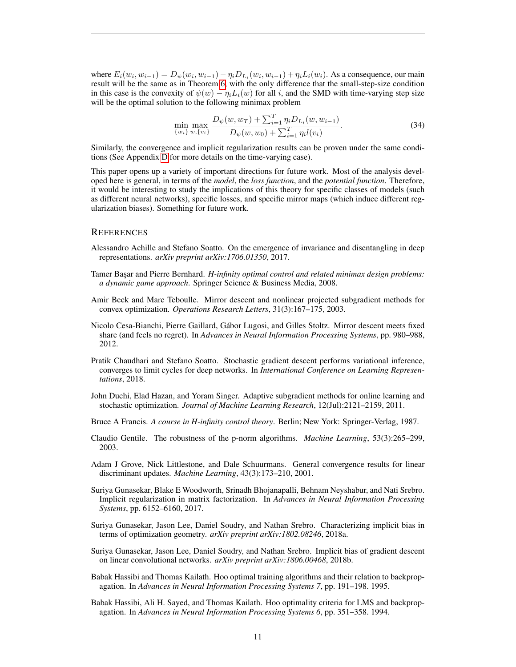where  $E_i(w_i, w_{i-1}) = D_{\psi}(w_i, w_{i-1}) - \eta_i D_{L_i}(w_i, w_{i-1}) + \eta_i L_i(w_i)$ . As a consequence, our main result will be the same as in Theorem [6,](#page-6-1) with the only difference that the small-step-size condition in this case is the convexity of  $\psi(w) - \eta_i L_i(w)$  for all i, and the SMD with time-varying step size will be the optimal solution to the following minimax problem

$$
\min_{\{w_i\}} \max_{w, \{v_i\}} \frac{D_{\psi}(w, w_T) + \sum_{i=1}^T \eta_i D_{L_i}(w, w_{i-1})}{D_{\psi}(w, w_0) + \sum_{i=1}^T \eta_i l(v_i)}.
$$
\n(34)

Similarly, the convergence and implicit regularization results can be proven under the same conditions (See Appendix [D](#page-16-0) for more details on the time-varying case).

This paper opens up a variety of important directions for future work. Most of the analysis developed here is general, in terms of the *model*, the *loss function*, and the *potential function*. Therefore, it would be interesting to study the implications of this theory for specific classes of models (such as different neural networks), specific losses, and specific mirror maps (which induce different regularization biases). Something for future work.

#### **REFERENCES**

- <span id="page-10-1"></span>Alessandro Achille and Stefano Soatto. On the emergence of invariance and disentangling in deep representations. *arXiv preprint arXiv:1706.01350*, 2017.
- <span id="page-10-8"></span>Tamer Başar and Pierre Bernhard. *H-infinity optimal control and related minimax design problems: a dynamic game approach*. Springer Science & Business Media, 2008.
- <span id="page-10-9"></span>Amir Beck and Marc Teboulle. Mirror descent and nonlinear projected subgradient methods for convex optimization. *Operations Research Letters*, 31(3):167–175, 2003.
- <span id="page-10-10"></span>Nicolo Cesa-Bianchi, Pierre Gaillard, Gabor Lugosi, and Gilles Stoltz. Mirror descent meets fixed ´ share (and feels no regret). In *Advances in Neural Information Processing Systems*, pp. 980–988, 2012.
- <span id="page-10-2"></span>Pratik Chaudhari and Stefano Soatto. Stochastic gradient descent performs variational inference, converges to limit cycles for deep networks. In *International Conference on Learning Representations*, 2018.
- <span id="page-10-0"></span>John Duchi, Elad Hazan, and Yoram Singer. Adaptive subgradient methods for online learning and stochastic optimization. *Journal of Machine Learning Research*, 12(Jul):2121–2159, 2011.
- <span id="page-10-7"></span>Bruce A Francis. *A course in H-infinity control theory*. Berlin; New York: Springer-Verlag, 1987.
- <span id="page-10-12"></span>Claudio Gentile. The robustness of the p-norm algorithms. *Machine Learning*, 53(3):265–299, 2003.
- <span id="page-10-11"></span>Adam J Grove, Nick Littlestone, and Dale Schuurmans. General convergence results for linear discriminant updates. *Machine Learning*, 43(3):173–210, 2001.
- <span id="page-10-3"></span>Suriya Gunasekar, Blake E Woodworth, Srinadh Bhojanapalli, Behnam Neyshabur, and Nati Srebro. Implicit regularization in matrix factorization. In *Advances in Neural Information Processing Systems*, pp. 6152–6160, 2017.
- <span id="page-10-4"></span>Suriya Gunasekar, Jason Lee, Daniel Soudry, and Nathan Srebro. Characterizing implicit bias in terms of optimization geometry. *arXiv preprint arXiv:1802.08246*, 2018a.
- <span id="page-10-5"></span>Suriya Gunasekar, Jason Lee, Daniel Soudry, and Nathan Srebro. Implicit bias of gradient descent on linear convolutional networks. *arXiv preprint arXiv:1806.00468*, 2018b.
- <span id="page-10-13"></span>Babak Hassibi and Thomas Kailath. Hoo optimal training algorithms and their relation to backpropagation. In *Advances in Neural Information Processing Systems 7*, pp. 191–198. 1995.
- <span id="page-10-6"></span>Babak Hassibi, Ali H. Sayed, and Thomas Kailath. Hoo optimality criteria for LMS and backpropagation. In *Advances in Neural Information Processing Systems 6*, pp. 351–358. 1994.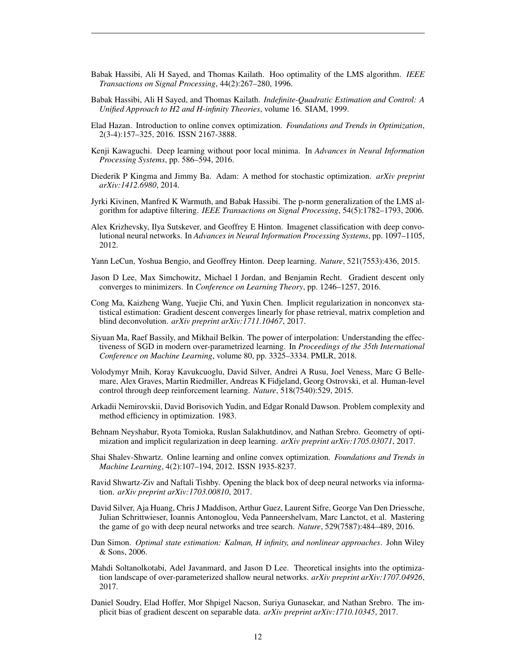- <span id="page-11-15"></span>Babak Hassibi, Ali H Sayed, and Thomas Kailath. Hoo optimality of the LMS algorithm. *IEEE Transactions on Signal Processing*, 44(2):267–280, 1996.
- <span id="page-11-13"></span>Babak Hassibi, Ali H Sayed, and Thomas Kailath. *Indefinite-Quadratic Estimation and Control: A Unified Approach to H2 and H-infinity Theories*, volume 16. SIAM, 1999.
- <span id="page-11-18"></span>Elad Hazan. Introduction to online convex optimization. *Foundations and Trends in Optimization*, 2(3-4):157–325, 2016. ISSN 2167-3888.
- <span id="page-11-5"></span>Kenji Kawaguchi. Deep learning without poor local minima. In *Advances in Neural Information Processing Systems*, pp. 586–594, 2016.
- <span id="page-11-7"></span>Diederik P Kingma and Jimmy Ba. Adam: A method for stochastic optimization. *arXiv preprint arXiv:1412.6980*, 2014.
- <span id="page-11-16"></span>Jyrki Kivinen, Manfred K Warmuth, and Babak Hassibi. The p-norm generalization of the LMS algorithm for adaptive filtering. *IEEE Transactions on Signal Processing*, 54(5):1782–1793, 2006.
- <span id="page-11-0"></span>Alex Krizhevsky, Ilya Sutskever, and Geoffrey E Hinton. Imagenet classification with deep convolutional neural networks. In *Advances in Neural Information Processing Systems*, pp. 1097–1105, 2012.
- <span id="page-11-1"></span>Yann LeCun, Yoshua Bengio, and Geoffrey Hinton. Deep learning. *Nature*, 521(7553):436, 2015.
- <span id="page-11-6"></span>Jason D Lee, Max Simchowitz, Michael I Jordan, and Benjamin Recht. Gradient descent only converges to minimizers. In *Conference on Learning Theory*, pp. 1246–1257, 2016.
- <span id="page-11-11"></span>Cong Ma, Kaizheng Wang, Yuejie Chi, and Yuxin Chen. Implicit regularization in nonconvex statistical estimation: Gradient descent converges linearly for phase retrieval, matrix completion and blind deconvolution. *arXiv preprint arXiv:1711.10467*, 2017.
- <span id="page-11-4"></span>Siyuan Ma, Raef Bassily, and Mikhail Belkin. The power of interpolation: Understanding the effectiveness of SGD in modern over-parametrized learning. In *Proceedings of the 35th International Conference on Machine Learning*, volume 80, pp. 3325–3334. PMLR, 2018.
- <span id="page-11-2"></span>Volodymyr Mnih, Koray Kavukcuoglu, David Silver, Andrei A Rusu, Joel Veness, Marc G Bellemare, Alex Graves, Martin Riedmiller, Andreas K Fidjeland, Georg Ostrovski, et al. Human-level control through deep reinforcement learning. *Nature*, 518(7540):529, 2015.
- <span id="page-11-19"></span>Arkadii Nemirovskii, David Borisovich Yudin, and Edgar Ronald Dawson. Problem complexity and method efficiency in optimization. 1983.
- <span id="page-11-10"></span>Behnam Neyshabur, Ryota Tomioka, Ruslan Salakhutdinov, and Nathan Srebro. Geometry of optimization and implicit regularization in deep learning. *arXiv preprint arXiv:1705.03071*, 2017.
- <span id="page-11-17"></span>Shai Shalev-Shwartz. Online learning and online convex optimization. *Foundations and Trends in Machine Learning*, 4(2):107–194, 2012. ISSN 1935-8237.
- <span id="page-11-8"></span>Ravid Shwartz-Ziv and Naftali Tishby. Opening the black box of deep neural networks via information. *arXiv preprint arXiv:1703.00810*, 2017.
- <span id="page-11-3"></span>David Silver, Aja Huang, Chris J Maddison, Arthur Guez, Laurent Sifre, George Van Den Driessche, Julian Schrittwieser, Ioannis Antonoglou, Veda Panneershelvam, Marc Lanctot, et al. Mastering the game of go with deep neural networks and tree search. *Nature*, 529(7587):484–489, 2016.
- <span id="page-11-14"></span>Dan Simon. *Optimal state estimation: Kalman, H infinity, and nonlinear approaches*. John Wiley & Sons, 2006.
- <span id="page-11-9"></span>Mahdi Soltanolkotabi, Adel Javanmard, and Jason D Lee. Theoretical insights into the optimization landscape of over-parameterized shallow neural networks. *arXiv preprint arXiv:1707.04926*, 2017.
- <span id="page-11-12"></span>Daniel Soudry, Elad Hoffer, Mor Shpigel Nacson, Suriya Gunasekar, and Nathan Srebro. The implicit bias of gradient descent on separable data. *arXiv preprint arXiv:1710.10345*, 2017.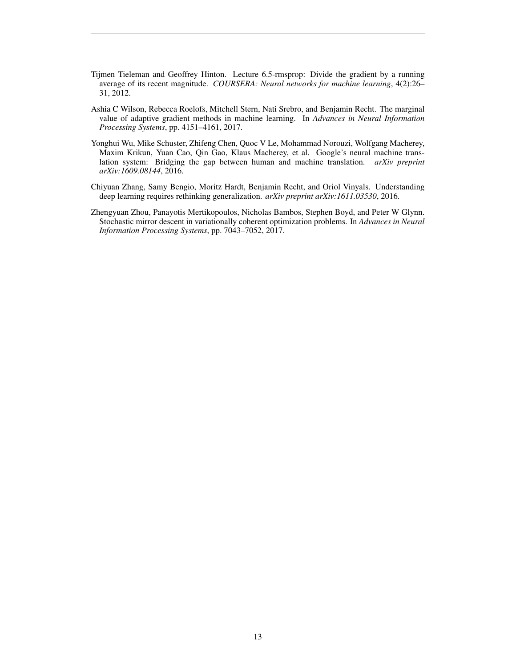- <span id="page-12-2"></span>Tijmen Tieleman and Geoffrey Hinton. Lecture 6.5-rmsprop: Divide the gradient by a running average of its recent magnitude. *COURSERA: Neural networks for machine learning*, 4(2):26– 31, 2012.
- <span id="page-12-3"></span>Ashia C Wilson, Rebecca Roelofs, Mitchell Stern, Nati Srebro, and Benjamin Recht. The marginal value of adaptive gradient methods in machine learning. In *Advances in Neural Information Processing Systems*, pp. 4151–4161, 2017.
- <span id="page-12-0"></span>Yonghui Wu, Mike Schuster, Zhifeng Chen, Quoc V Le, Mohammad Norouzi, Wolfgang Macherey, Maxim Krikun, Yuan Cao, Qin Gao, Klaus Macherey, et al. Google's neural machine translation system: Bridging the gap between human and machine translation. *arXiv preprint arXiv:1609.08144*, 2016.
- <span id="page-12-1"></span>Chiyuan Zhang, Samy Bengio, Moritz Hardt, Benjamin Recht, and Oriol Vinyals. Understanding deep learning requires rethinking generalization. *arXiv preprint arXiv:1611.03530*, 2016.
- <span id="page-12-4"></span>Zhengyuan Zhou, Panayotis Mertikopoulos, Nicholas Bambos, Stephen Boyd, and Peter W Glynn. Stochastic mirror descent in variationally coherent optimization problems. In *Advances in Neural Information Processing Systems*, pp. 7043–7052, 2017.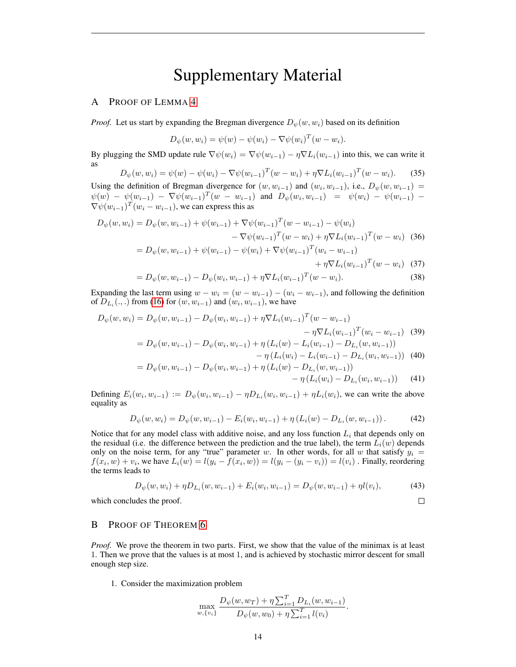# Supplementary Material

### <span id="page-13-0"></span>A PROOF OF LEMMA [4](#page-5-4)

*Proof.* Let us start by expanding the Bregman divergence  $D_{\psi}(w, w_i)$  based on its definition

$$
D_{\psi}(w, w_i) = \psi(w) - \psi(w_i) - \nabla \psi(w_i)^T (w - w_i).
$$

By plugging the SMD update rule  $\nabla \psi(w_i) = \nabla \psi(w_{i-1}) - \eta \nabla L_i(w_{i-1})$  into this, we can write it as

$$
D_{\psi}(w, w_i) = \psi(w) - \psi(w_i) - \nabla \psi(w_{i-1})^T (w - w_i) + \eta \nabla L_i (w_{i-1})^T (w - w_i).
$$
 (35)

Using the definition of Bregman divergence for  $(w, w_{i-1})$  and  $(w_i, w_{i-1})$ , i.e.,  $D_{\psi}(w, w_{i-1}) =$  $\psi(w) - \psi(w_{i-1}) - \nabla \psi(w_{i-1})^T(w - w_{i-1})$  and  $D_{\psi}(w_i, w_{i-1}) = \psi(w_i) - \psi(w_{i-1}) - \nabla \psi(w_{i-1})$  $\nabla \psi(w_{i-1})^T (w_i - w_{i-1})$ , we can express this as

$$
D_{\psi}(w, w_{i}) = D_{\psi}(w, w_{i-1}) + \psi(w_{i-1}) + \nabla \psi(w_{i-1})^{T} (w - w_{i-1}) - \psi(w_{i})
$$
  
\n
$$
- \nabla \psi(w_{i-1})^{T} (w - w_{i}) + \eta \nabla L_{i}(w_{i-1})^{T} (w - w_{i}) \quad (36)
$$
  
\n
$$
= D_{\psi}(w, w_{i-1}) + \psi(w_{i-1}) - \psi(w_{i}) + \nabla \psi(w_{i-1})^{T} (w_{i} - w_{i-1})
$$
  
\n
$$
+ \eta \nabla L_{i}(w_{i-1})^{T} (w - w_{i}) \quad (37)
$$
  
\n
$$
D_{\psi}(w, w_{i-1}) = D_{\psi}(w, w_{i-1}) + \eta \nabla L_{i}(w_{i-1})^{T} (w - w_{i}) \quad (38)
$$

$$
= D_{\psi}(w, w_{i-1}) - D_{\psi}(w_i, w_{i-1}) + \eta \nabla L_i(w_{i-1})^T (w - w_i).
$$
\n(38)

Expanding the last term using  $w - w_i = (w - w_{i-1}) - (w_i - w_{i-1})$ , and following the definition of  $D_{L_i}(.,.)$  from [\(16\)](#page-5-5) for  $(w, w_{i-1})$  and  $(w_i, w_{i-1})$ , we have

$$
D_{\psi}(w, w_{i}) = D_{\psi}(w, w_{i-1}) - D_{\psi}(w_{i}, w_{i-1}) + \eta \nabla L_{i}(w_{i-1})^{T} (w - w_{i-1}) - \eta \nabla L_{i}(w_{i-1})^{T} (w_{i} - w_{i-1}) \quad (39)
$$
  
= 
$$
D_{\psi}(w, w_{i-1}) - D_{\psi}(w_{i}, w_{i-1}) + \eta (L_{i}(w) - L_{i}(w_{i-1}) - D_{L_{i}}(w, w_{i-1})) - \eta (L_{i}(w_{i}) - L_{i}(w_{i-1}) - D_{L_{i}}(w, w_{i-1})) \quad (40)
$$

$$
= D_{\psi}(w, w_{i-1}) - D_{\psi}(w_i, w_{i-1}) + \eta \left( L_i(w) - D_{L_i}(w, w_{i-1}) \right) - \eta \left( L_i(w_i) - D_{L_i}(w, w_{i-1}) \right) - \eta \left( L_i(w_i) - D_{L_i}(w, w_{i-1}) \right) \tag{41}
$$

Defining  $E_i(w_i, w_{i-1}) := D_{\psi}(w_i, w_{i-1}) - \eta D_{L_i}(w_i, w_{i-1}) + \eta L_i(w_i)$ , we can write the above equality as

$$
D_{\psi}(w, w_i) = D_{\psi}(w, w_{i-1}) - E_i(w_i, w_{i-1}) + \eta \left( L_i(w) - D_{L_i}(w, w_{i-1}) \right). \tag{42}
$$

Notice that for any model class with additive noise, and any loss function  $L<sub>i</sub>$  that depends only on the residual (i.e. the difference between the prediction and the true label), the term  $L_i(w)$  depends only on the noise term, for any "true" parameter w. In other words, for all w that satisfy  $y_i =$  $f(x_i, w) + v_i$ , we have  $L_i(w) = l(y_i - f(x_i, w)) = l(y_i - (y_i - v_i)) = l(v_i)$ . Finally, reordering the terms leads to

$$
D_{\psi}(w, w_i) + \eta D_{L_i}(w, w_{i-1}) + E_i(w_i, w_{i-1}) = D_{\psi}(w, w_{i-1}) + \eta l(v_i),
$$
\n(43)

 $\Box$ 

which concludes the proof.

# <span id="page-13-1"></span>B PROOF OF THEOREM [6](#page-6-1)

*Proof.* We prove the theorem in two parts. First, we show that the value of the minimax is at least 1. Then we prove that the values is at most 1, and is achieved by stochastic mirror descent for small enough step size.

1. Consider the maximization problem

$$
\max_{w, \{v_i\}} \frac{D_{\psi}(w, w_T) + \eta \sum_{i=1}^T D_{L_i}(w, w_{i-1})}{D_{\psi}(w, w_0) + \eta \sum_{i=1}^T l(v_i)}.
$$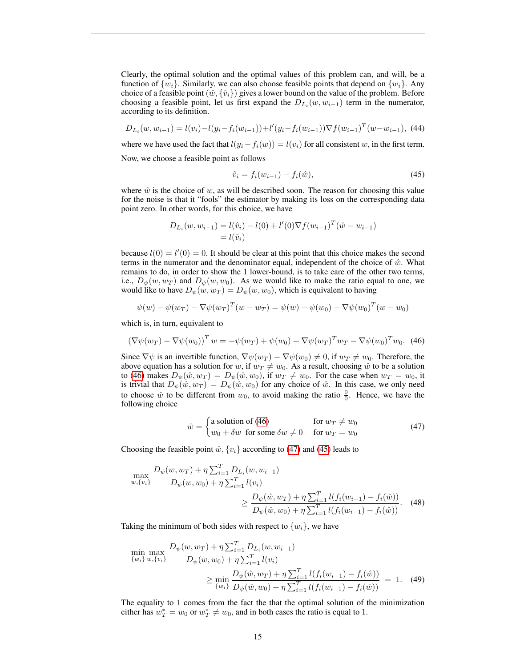Clearly, the optimal solution and the optimal values of this problem can, and will, be a function of  $\{w_i\}$ . Similarly, we can also choose feasible points that depend on  $\{w_i\}$ . Any choice of a feasible point  $(\hat{w}, {\hat{v}_i})$  gives a lower bound on the value of the problem. Before choosing a feasible point, let us first expand the  $D_{L_i}(w, w_{i-1})$  term in the numerator, according to its definition.

$$
D_{L_i}(w, w_{i-1}) = l(v_i) - l(y_i - f_i(w_{i-1})) + l'(y_i - f_i(w_{i-1})) \nabla f(w_{i-1})^T (w - w_{i-1}), \tag{44}
$$

where we have used the fact that  $l(y_i - f_i(w)) = l(v_i)$  for all consistent w, in the first term. Now, we choose a feasible point as follows

<span id="page-14-2"></span>
$$
\hat{v}_i = f_i(w_{i-1}) - f_i(\hat{w}),\tag{45}
$$

where  $\hat{w}$  is the choice of w, as will be described soon. The reason for choosing this value for the noise is that it "fools" the estimator by making its loss on the corresponding data point zero. In other words, for this choice, we have

$$
D_{L_i}(w, w_{i-1}) = l(\hat{v}_i) - l(0) + l'(0)\nabla f(w_{i-1})^T(\hat{w} - w_{i-1})
$$
  
=  $l(\hat{v}_i)$ 

because  $l(0) = l'(0) = 0$ . It should be clear at this point that this choice makes the second terms in the numerator and the denominator equal, independent of the choice of  $\hat{w}$ . What remains to do, in order to show the 1 lower-bound, is to take care of the other two terms, i.e.,  $D_{\psi}(w, w_T)$  and  $D_{\psi}(w, w_0)$ . As we would like to make the ratio equal to one, we would like to have  $D_{\psi}(w, w_T) = D_{\psi}(w, w_0)$ , which is equivalent to having

$$
\psi(w) - \psi(w_T) - \nabla \psi(w_T)^T (w - w_T) = \psi(w) - \psi(w_0) - \nabla \psi(w_0)^T (w - w_0)
$$

which is, in turn, equivalent to

<span id="page-14-0"></span>
$$
(\nabla \psi(w_T) - \nabla \psi(w_0))^T w = -\psi(w_T) + \psi(w_0) + \nabla \psi(w_T)^T w_T - \nabla \psi(w_0)^T w_0.
$$
 (46)

Since  $\nabla \psi$  is an invertible function,  $\nabla \psi(w_T) - \nabla \psi(w_0) \neq 0$ , if  $w_T \neq w_0$ . Therefore, the above equation has a solution for w, if  $w_T \neq w_0$ . As a result, choosing  $\hat{w}$  to be a solution to [\(46\)](#page-14-0) makes  $D_{\psi}(\hat{w}, w_T) = D_{\psi}(\hat{w}, w_0)$ , if  $w_T \neq w_0$ . For the case when  $w_T = w_0$ , it is trivial that  $D_{\psi}(\hat{w}, w_T) = D_{\psi}(\hat{w}, w_0)$  for any choice of  $\hat{w}$ . In this case, we only need to choose  $\hat{w}$  to be different from  $w_0$ , to avoid making the ratio  $\frac{0}{0}$ . Hence, we have the following choice

<span id="page-14-1"></span>
$$
\hat{w} = \begin{cases}\n\text{a solution of (46)} & \text{for } w_T \neq w_0 \\
w_0 + \delta w & \text{for some } \delta w \neq 0 \quad \text{for } w_T = w_0\n\end{cases}
$$
\n(47)

Choosing the feasible point  $\hat{w}$ ,  $\{v_i\}$  according to [\(47\)](#page-14-1) and [\(45\)](#page-14-2) leads to

$$
\max_{w,\{v_i\}} \frac{D_{\psi}(w, w_T) + \eta \sum_{i=1}^T D_{Li}(w, w_{i-1})}{D_{\psi}(w, w_0) + \eta \sum_{i=1}^T l(v_i)} \ge \frac{D_{\psi}(\hat{w}, w_T) + \eta \sum_{i=1}^T l(f_i(w_{i-1}) - f_i(\hat{w}))}{D_{\psi}(\hat{w}, w_0) + \eta \sum_{i=1}^T l(f_i(w_{i-1}) - f_i(\hat{w}))}.
$$
\n(48)

Taking the minimum of both sides with respect to  $\{w_i\}$ , we have

$$
\min_{\{w_i\}} \max_{w, \{v_i\}} \frac{D_{\psi}(w, w_T) + \eta \sum_{i=1}^T D_{Li}(w, w_{i-1})}{D_{\psi}(w, w_0) + \eta \sum_{i=1}^T l(v_i)} \ge \min_{\{w_i\}} \frac{D_{\psi}(\hat{w}, w_T) + \eta \sum_{i=1}^T l(f_i(w_{i-1}) - f_i(\hat{w}))}{D_{\psi}(\hat{w}, w_0) + \eta \sum_{i=1}^T l(f_i(w_{i-1}) - f_i(\hat{w}))} = 1. \tag{49}
$$

The equality to 1 comes from the fact the that the optimal solution of the minimization either has  $w_T^* = w_0$  or  $w_T^* \neq w_0$ , and in both cases the ratio is equal to 1.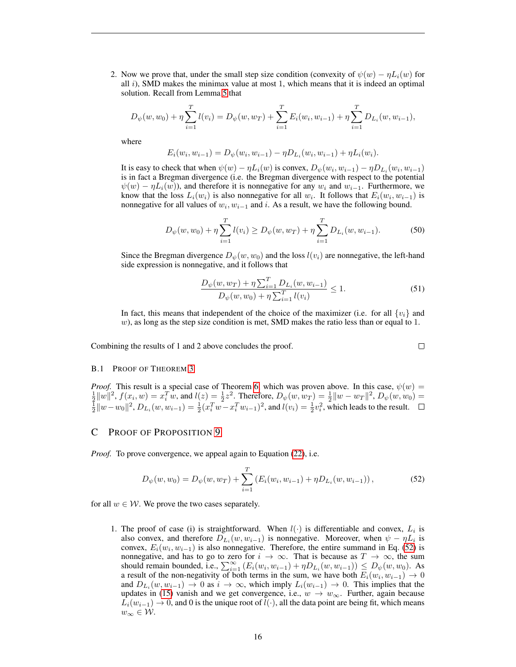2. Now we prove that, under the small step size condition (convexity of  $\psi(w) - \eta L_i(w)$  for all  $i$ ), SMD makes the minimax value at most 1, which means that it is indeed an optimal solution. Recall from Lemma [5](#page-6-0) that

$$
D_{\psi}(w, w_0) + \eta \sum_{i=1}^{T} l(v_i) = D_{\psi}(w, w_T) + \sum_{i=1}^{T} E_i(w_i, w_{i-1}) + \eta \sum_{i=1}^{T} D_{L_i}(w, w_{i-1}),
$$

where

$$
E_i(w_i, w_{i-1}) = D_{\psi}(w_i, w_{i-1}) - \eta D_{L_i}(w_i, w_{i-1}) + \eta L_i(w_i).
$$

It is easy to check that when  $\psi(w) - \eta L_i(w)$  is convex,  $D_{\psi}(w_i, w_{i-1}) - \eta D_{L_i}(w_i, w_{i-1})$ is in fact a Bregman divergence (i.e. the Bregman divergence with respect to the potential  $\psi(w) - \eta L_i(w)$ , and therefore it is nonnegative for any  $w_i$  and  $w_{i-1}$ . Furthermore, we know that the loss  $L_i(w_i)$  is also nonnegative for all  $w_i$ . It follows that  $E_i(w_i, w_{i-1})$  is nonnegative for all values of  $w_i, w_{i-1}$  and i. As a result, we have the following bound.

$$
D_{\psi}(w, w_0) + \eta \sum_{i=1}^{T} l(v_i) \ge D_{\psi}(w, w_T) + \eta \sum_{i=1}^{T} D_{L_i}(w, w_{i-1}).
$$
 (50)

Since the Bregman divergence  $D_{\psi}(w, w_0)$  and the loss  $l(v_i)$  are nonnegative, the left-hand side expression is nonnegative, and it follows that

$$
\frac{D_{\psi}(w, w_T) + \eta \sum_{i=1}^{T} D_{L_i}(w, w_{i-1})}{D_{\psi}(w, w_0) + \eta \sum_{i=1}^{T} l(v_i)} \le 1.
$$
\n(51)

 $\Box$ 

In fact, this means that independent of the choice of the maximizer (i.e. for all  $\{v_i\}$  and  $w$ ), as long as the step size condition is met, SMD makes the ratio less than or equal to 1.

Combining the results of 1 and 2 above concludes the proof.

#### B.1 PROOF OF THEOREM [3](#page-4-2)

*Proof.* This result is a special case of Theorem [6,](#page-6-1) which was proven above. In this case,  $\psi(w) = \frac{1}{2} ||w||^2$ ,  $f(x_i, w) = x_i^T w$ , and  $l(z) = \frac{1}{2} z^2$ . Therefore,  $D_{\psi}(w, w_T) = \frac{1}{2} ||w - w_T||^2$ ,  $D_{\psi}(w, w_0) =$  $\frac{1}{2}||w-w_0||^2$ ,  $D_{L_i}(w, w_{i-1}) = \frac{1}{2}(x_i^T w - x_i^T w_{i-1})^2$ , and  $l(v_i) = \frac{1}{2}v_i^2$ , which leads to the result.

## <span id="page-15-0"></span>C PROOF OF PROPOSITION [9](#page-8-0)

*Proof.* To prove convergence, we appeal again to Equation [\(22\)](#page-7-1), i.e.

<span id="page-15-1"></span>
$$
D_{\psi}(w, w_0) = D_{\psi}(w, w_T) + \sum_{i=1}^{T} \left( E_i(w_i, w_{i-1}) + \eta D_{L_i}(w, w_{i-1}) \right), \tag{52}
$$

for all  $w \in \mathcal{W}$ . We prove the two cases separately.

1. The proof of case (i) is straightforward. When  $l(\cdot)$  is differentiable and convex,  $L_i$  is also convex, and therefore  $D_{L_i}(w, w_{i-1})$  is nonnegative. Moreover, when  $\psi - \eta L_i$  is convex,  $E_i(w_i, w_{i-1})$  is also nonnegative. Therefore, the entire summand in Eq. [\(52\)](#page-15-1) is nonnegative, and has to go to zero for  $i \to \infty$ . That is because as  $T \to \infty$ , the sum should remain bounded, i.e.,  $\sum_{i=1}^{\infty} (E_i(w_i, w_{i-1}) + \eta D_{L_i}(w, w_{i-1})) \leq D_{\psi}(w, w_0)$ . As a result of the non-negativity of both terms in the sum, we have both  $E_i(w_i, w_{i-1}) \to 0$ and  $D_{L_i}(w, w_{i-1}) \to 0$  as  $i \to \infty$ , which imply  $L_i(w_{i-1}) \to 0$ . This implies that the updates in [\(15\)](#page-5-2) vanish and we get convergence, i.e.,  $w \to w_{\infty}$ . Further, again because  $L_i(w_{i-1}) \to 0$ , and 0 is the unique root of  $l(\cdot)$ , all the data point are being fit, which means  $w_{\infty} \in \mathcal{W}$ .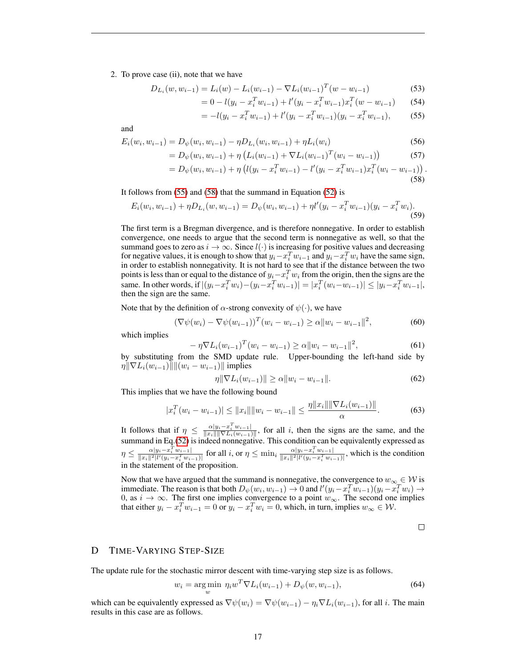2. To prove case (ii), note that we have

$$
D_{L_i}(w, w_{i-1}) = L_i(w) - L_i(w_{i-1}) - \nabla L_i(w_{i-1})^T (w - w_{i-1})
$$
\n(53)

$$
= 0 - l(y_i - x_i^T w_{i-1}) + l'(y_i - x_i^T w_{i-1}) x_i^T (w - w_{i-1}) \tag{54}
$$

$$
= -l(y_i - x_i^T w_{i-1}) + l'(y_i - x_i^T w_{i-1})(y_i - x_i^T w_{i-1}),
$$
 (55)

and

$$
E_i(w_i, w_{i-1}) = D_{\psi}(w_i, w_{i-1}) - \eta D_{L_i}(w_i, w_{i-1}) + \eta L_i(w_i)
$$
\n(56)

$$
= D_{\psi}(w_i, w_{i-1}) + \eta \left( L_i(w_{i-1}) + \nabla L_i(w_{i-1})^T (w_i - w_{i-1}) \right)
$$
(57)

$$
= D_{\psi}(w_i, w_{i-1}) + \eta \left( l(y_i - x_i^T w_{i-1}) - l'(y_i - x_i^T w_{i-1}) x_i^T (w_i - w_{i-1}) \right)
$$
\n(58)

It follows from [\(55\)](#page-16-1) and [\(58\)](#page-16-2) that the summand in Equation [\(52\)](#page-15-1) is

$$
E_i(w_i, w_{i-1}) + \eta D_{L_i}(w, w_{i-1}) = D_{\psi}(w_i, w_{i-1}) + \eta l'(y_i - x_i^T w_{i-1})(y_i - x_i^T w_i).
$$
\n(59)

The first term is a Bregman divergence, and is therefore nonnegative. In order to establish convergence, one needs to argue that the second term is nonnegative as well, so that the summand goes to zero as  $i \to \infty$ . Since  $l(\cdot)$  is increasing for positive values and decreasing for negative values, it is enough to show that  $y_i - x_i^T w_{i-1}$  and  $y_i - x_i^T w_i$  have the same sign, in order to establish nonnegativity. It is not hard to see that if the distance between the two points is less than or equal to the distance of  $y_i - x_i^T w_i$  from the origin, then the signs are the same. In other words, if  $|(y_i - x_i^T w_i) - (y_i - x_i^T w_{i-1})| = |x_i^T (w_i - w_{i-1})| \le |y_i - x_i^T w_{i-1}|$ , then the sign are the same.

Note that by the definition of  $\alpha$ -strong convexity of  $\psi(\cdot)$ , we have

$$
(\nabla \psi(w_i) - \nabla \psi(w_{i-1}))^T (w_i - w_{i-1}) \ge \alpha \|w_i - w_{i-1}\|^2,
$$
\n(60)

which implies

$$
-\eta \nabla L_i(w_{i-1})^T (w_i - w_{i-1}) \ge \alpha \|w_i - w_{i-1}\|^2, \tag{61}
$$

by substituting from the SMD update rule. Upper-bounding the left-hand side by  $\eta \|\nabla L_i(w_{i-1})\| \| (w_i - w_{i-1}) \|$  implies

$$
\eta \|\nabla L_i(w_{i-1})\| \ge \alpha \|w_i - w_{i-1}\|.
$$
\n(62)

This implies that we have the following bound

$$
|x_i^T(w_i - w_{i-1})| \le ||x_i|| ||w_i - w_{i-1}|| \le \frac{\eta ||x_i|| ||\nabla L_i(w_{i-1})||}{\alpha}.
$$
 (63)

It follows that if  $\eta \leq \frac{\alpha |y_i - x_i^T w_{i-1}|}{\|x_i\| \|\nabla L_i(w_{i-1})\|}$ , for all i, then the signs are the same, and the summand in Eq.[\(52\)](#page-15-1) is indeed nonnegative. This condition can be equivalently expressed as  $\eta \leq \frac{\alpha|y_i-x_i^T w_{i-1}|}{\|x_i\|^2 |l'(y_i-x_i^T w_{i-1})|}$  for all i, or  $\eta \leq \min_i \frac{\alpha|y_i-x_i^T w_{i-1}|}{\|x_i\|^2 |l'(y_i-x_i^T w_{i-1})|}$ , which is the condition in the statement of the proposition.

Now that we have argued that the summand is nonnegative, the convergence to  $w_{\infty} \in \mathcal{W}$  is immediate. The reason is that both  $D_{\psi}(w_i, w_{i-1}) \to 0$  and  $l'(y_i - x_i^T w_{i-1})(y_i - x_i^T w_i) \to$ 0, as  $i \to \infty$ . The first one implies convergence to a point  $w_{\infty}$ . The second one implies that either  $y_i - x_i^T w_{i-1} = 0$  or  $y_i - x_i^T w_i = 0$ , which, in turn, implies  $w_\infty \in \mathcal{W}$ .

$$
\qquad \qquad \Box
$$

<span id="page-16-2"></span><span id="page-16-1"></span>.

# <span id="page-16-0"></span>D TIME-VARYING STEP-SIZE

The update rule for the stochastic mirror descent with time-varying step size is as follows.

<span id="page-16-3"></span>
$$
w_i = \underset{w}{\text{arg min}} \ \eta_i w^T \nabla L_i(w_{i-1}) + D_{\psi}(w, w_{i-1}), \tag{64}
$$

which can be equivalently expressed as  $\nabla \psi(w_i) = \nabla \psi(w_{i-1}) - \eta_i \nabla L_i(w_{i-1})$ , for all *i*. The main results in this case are as follows.